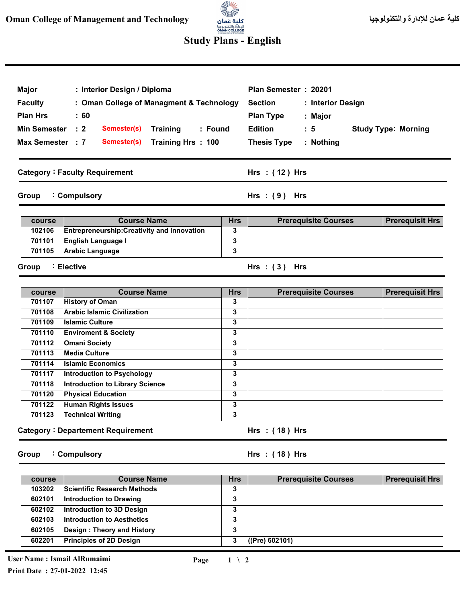

## **Study Plans - English**

| Major<br><b>Faculty</b><br><b>Plan Hrs</b><br><b>Min Semester</b><br>Max Semester : 7 | : Interior Design / Diploma<br>: Oman College of Managment & Technology<br>$\therefore 60$<br>$\therefore$ 2<br>Semester(s)<br><b>Training</b><br>: Found<br>Semester(s)<br>Training Hrs: 100 |            | Plan Semester: 20201<br><b>Section</b><br>: Interior Design<br><b>Plan Type</b><br>: Major<br><b>Edition</b><br>: 5<br><b>Thesis Type</b><br>: Nothing | <b>Study Type: Morning</b> |
|---------------------------------------------------------------------------------------|-----------------------------------------------------------------------------------------------------------------------------------------------------------------------------------------------|------------|--------------------------------------------------------------------------------------------------------------------------------------------------------|----------------------------|
|                                                                                       | <b>Category: Faculty Requirement</b>                                                                                                                                                          |            | Hrs: (12) Hrs                                                                                                                                          |                            |
| Group                                                                                 | : Compulsory                                                                                                                                                                                  |            | Hrs: $(9)$ Hrs                                                                                                                                         |                            |
| course                                                                                | <b>Course Name</b>                                                                                                                                                                            | <b>Hrs</b> | <b>Prerequisite Courses</b>                                                                                                                            | <b>Prerequisit Hrs</b>     |
| 102106                                                                                | <b>Entrepreneurship: Creativity and Innovation</b>                                                                                                                                            | 3          |                                                                                                                                                        |                            |
| 701101                                                                                | <b>English Language I</b>                                                                                                                                                                     | 3          |                                                                                                                                                        |                            |
| 701105                                                                                | <b>Arabic Language</b>                                                                                                                                                                        | 3          |                                                                                                                                                        |                            |
| Group                                                                                 | : Elective                                                                                                                                                                                    |            | Hrs: $(3)$ Hrs                                                                                                                                         |                            |
| course                                                                                | <b>Course Name</b>                                                                                                                                                                            | <b>Hrs</b> | <b>Prerequisite Courses</b>                                                                                                                            | <b>Prerequisit Hrs</b>     |
| 701107                                                                                | <b>History of Oman</b>                                                                                                                                                                        | 3          |                                                                                                                                                        |                            |
| 701108                                                                                | <b>Arabic Islamic Civilization</b>                                                                                                                                                            | 3          |                                                                                                                                                        |                            |
| 701109                                                                                | <b>Islamic Culture</b>                                                                                                                                                                        | 3          |                                                                                                                                                        |                            |
| 701110                                                                                | <b>Enviroment &amp; Society</b>                                                                                                                                                               | 3          |                                                                                                                                                        |                            |
| 701112                                                                                | <b>Omani Society</b>                                                                                                                                                                          | 3          |                                                                                                                                                        |                            |
| 701113                                                                                | <b>Media Culture</b>                                                                                                                                                                          | 3          |                                                                                                                                                        |                            |
| 701114                                                                                | <b>Islamic Economics</b>                                                                                                                                                                      | 3          |                                                                                                                                                        |                            |
| 701117                                                                                | Introduction to Psychology                                                                                                                                                                    | 3          |                                                                                                                                                        |                            |
| 701118                                                                                | <b>Introduction to Library Science</b>                                                                                                                                                        | 3          |                                                                                                                                                        |                            |

|        | Group : Compulsory                       |   | Hrs: $(18)$ Hrs |  |
|--------|------------------------------------------|---|-----------------|--|
|        | <b>Category: Departement Requirement</b> |   | Hrs $:(18)$ Hrs |  |
| 701123 | <b>Technical Writing</b>                 | 3 |                 |  |
| 701122 | <b>Human Rights Issues</b>               | 3 |                 |  |

| course | <b>Course Name</b>                 | <b>Hrs</b> | <b>Prerequisite Courses</b> | <b>Prerequisit Hrs</b> |
|--------|------------------------------------|------------|-----------------------------|------------------------|
| 103202 | <b>Scientific Research Methods</b> | 3          |                             |                        |
| 602101 | Introduction to Drawing            | 3          |                             |                        |
| 602102 | Introduction to 3D Design          | 3          |                             |                        |
| 602103 | <b>Introduction to Aesthetics</b>  | 3          |                             |                        |
| 602105 | Design: Theory and History         | 3          |                             |                        |
| 602201 | <b>Principles of 2D Design</b>     | 3          | ((Pre) 602101)              |                        |

**3**

**701120**

**Physical Education**